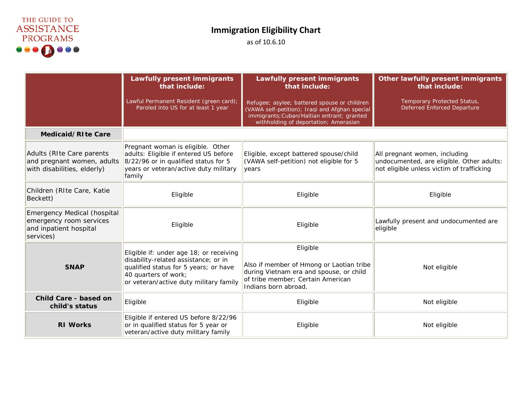

## **Immigration Eligibility Chart**

as of 10.6.10

|                                                                                                      | <b>Lawfully present immigrants</b><br>that include:                                                                                                                                        | <b>Lawfully present immigrants</b><br>that include:                                                                                                                                   | Other lawfully present immigrants<br>that include:                                                                      |
|------------------------------------------------------------------------------------------------------|--------------------------------------------------------------------------------------------------------------------------------------------------------------------------------------------|---------------------------------------------------------------------------------------------------------------------------------------------------------------------------------------|-------------------------------------------------------------------------------------------------------------------------|
|                                                                                                      | Lawful Permanent Resident (green card);<br>Paroled into US for at least 1 year                                                                                                             | Refugee; asylee; battered spouse or children<br>(VAWA self-petition); Iraqi and Afghan special<br>immigrants; Cuban/Haitian entrant; granted<br>withholding of deportation; Amerasian | Temporary Protected Status,<br><b>Deferred Enforced Departure</b>                                                       |
| Medicaid/RIte Care                                                                                   |                                                                                                                                                                                            |                                                                                                                                                                                       |                                                                                                                         |
| Adults (RIte Care parents<br>and pregnant women, adults<br>with disabilities, elderly)               | Pregnant woman is eligible. Other<br>adults: Eligible if entered US before<br>8/22/96 or in qualified status for 5<br>years or veteran/active duty military<br>family                      | Eligible, except battered spouse/child<br>(VAWA self-petition) not eligible for 5<br>vears                                                                                            | All pregnant women, including<br>undocumented, are eligible. Other adults:<br>not eligible unless victim of trafficking |
| Children (RIte Care, Katie<br>Beckett)                                                               | Eligible                                                                                                                                                                                   | Eligible                                                                                                                                                                              | Eligible                                                                                                                |
| <b>Emergency Medical (hospital</b><br>emergency room services<br>and inpatient hospital<br>services) | Eligible                                                                                                                                                                                   | Eligible                                                                                                                                                                              | Lawfully present and undocumented are<br>eligible                                                                       |
| <b>SNAP</b>                                                                                          | Eligible if: under age 18; or receiving<br>disability-related assistance; or in<br>qualified status for 5 years; or have<br>40 quarters of work;<br>or veteran/active duty military family | Eligible<br>Also if member of Hmong or Laotian tribe<br>during Vietnam era and spouse, or child<br>of tribe member; Certain American<br>Indians born abroad.                          | Not eligible                                                                                                            |
| Child Care - based on<br>child's status                                                              | Eligible                                                                                                                                                                                   | Eligible                                                                                                                                                                              | Not eligible                                                                                                            |
| <b>RI Works</b>                                                                                      | Eligible if entered US before 8/22/96<br>or in qualified status for 5 year or<br>veteran/active duty military family                                                                       | Eligible                                                                                                                                                                              | Not eligible                                                                                                            |